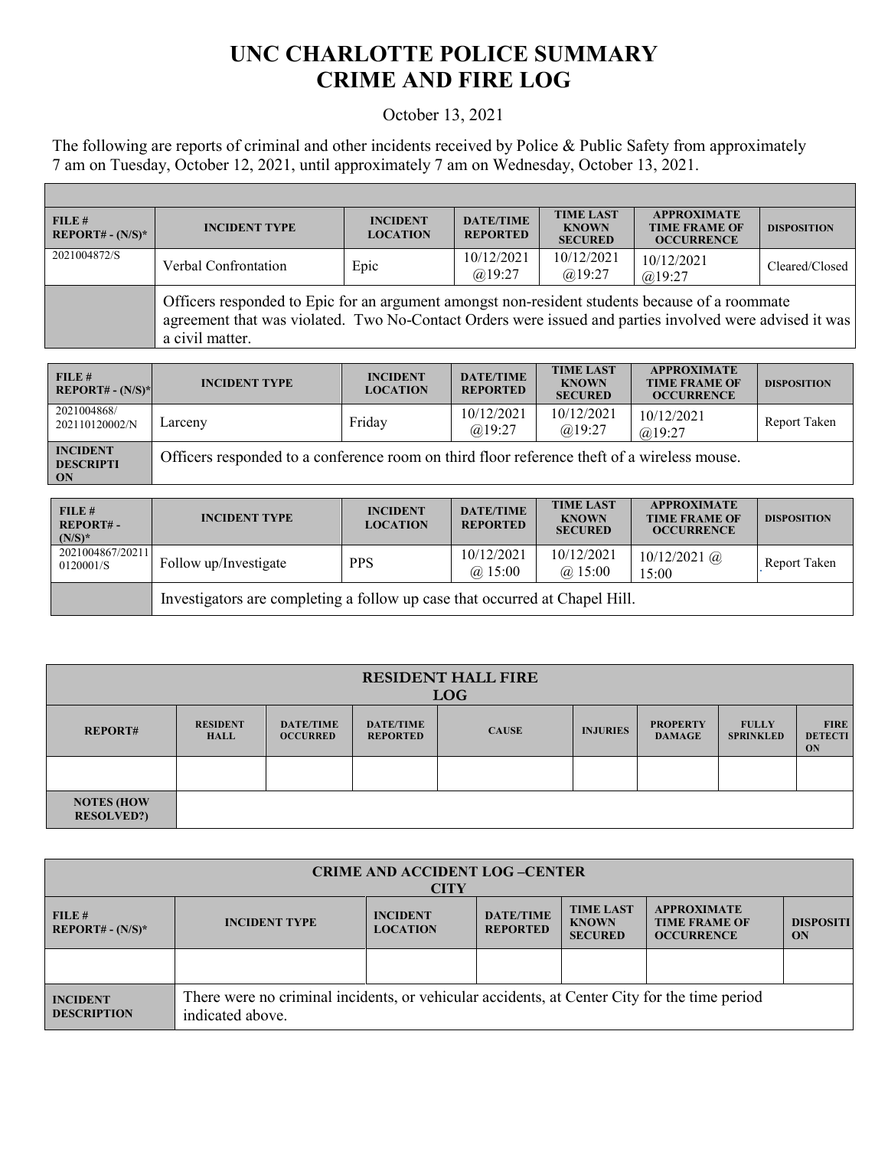## **UNC CHARLOTTE POLICE SUMMARY CRIME AND FIRE LOG**

## October 13, 2021

The following are reports of criminal and other incidents received by Police & Public Safety from approximately 7 am on Tuesday, October 12, 2021, until approximately 7 am on Wednesday, October 13, 2021.

| FILE#<br>$REPORT# - (N/S)*$ | <b>INCIDENT TYPE</b>                                                                                                                                                                                                         | <b>INCIDENT</b><br><b>LOCATION</b> | <b>DATE/TIME</b><br><b>REPORTED</b> | <b>TIME LAST</b><br><b>KNOWN</b><br><b>SECURED</b> | <b>APPROXIMATE</b><br><b>TIME FRAME OF</b><br><b>OCCURRENCE</b> | <b>DISPOSITION</b> |  |
|-----------------------------|------------------------------------------------------------------------------------------------------------------------------------------------------------------------------------------------------------------------------|------------------------------------|-------------------------------------|----------------------------------------------------|-----------------------------------------------------------------|--------------------|--|
| 2021004872/S                | Verbal Confrontation                                                                                                                                                                                                         | Epic                               | 10/12/2021<br>$(a)$ 19:27           | 10/12/2021<br>@19:27                               | 10/12/2021<br>$(a)$ 19:27                                       | Cleared/Closed     |  |
|                             | Officers responded to Epic for an argument amongst non-resident students because of a roommate<br>agreement that was violated. Two No-Contact Orders were issued and parties involved were advised it was<br>a civil matter. |                                    |                                     |                                                    |                                                                 |                    |  |

| FILE#<br>$REPORT# - (N/S)*$         | <b>INCIDENT TYPE</b>                                                                        | <b>INCIDENT</b><br><b>LOCATION</b> | <b>DATE/TIME</b><br><b>REPORTED</b> | <b>TIME LAST</b><br><b>KNOWN</b><br><b>SECURED</b> | <b>APPROXIMATE</b><br><b>TIME FRAME OF</b><br><b>OCCURRENCE</b> | <b>DISPOSITION</b> |
|-------------------------------------|---------------------------------------------------------------------------------------------|------------------------------------|-------------------------------------|----------------------------------------------------|-----------------------------------------------------------------|--------------------|
| 2021004868/<br>202110120002/N       | Larceny                                                                                     | Friday                             | 10/12/2021<br>$(a)$ 19:27           | 10/12/2021<br>@19:27                               | 10/12/2021<br>@19:27                                            | Report Taken       |
| <b>INCIDENT</b><br><b>DESCRIPTI</b> | Officers responded to a conference room on third floor reference theft of a wireless mouse. |                                    |                                     |                                                    |                                                                 |                    |

**ON**

Г

| FILE#<br>$REPORT# -$<br>$(N/S)^*$ | <b>INCIDENT TYPE</b>                                                        | <b>INCIDENT</b><br><b>LOCATION</b> | <b>DATE/TIME</b><br><b>REPORTED</b> | <b>TIME LAST</b><br><b>KNOWN</b><br><b>SECURED</b> | <b>APPROXIMATE</b><br><b>TIME FRAME OF</b><br><b>OCCURRENCE</b> | <b>DISPOSITION</b> |  |
|-----------------------------------|-----------------------------------------------------------------------------|------------------------------------|-------------------------------------|----------------------------------------------------|-----------------------------------------------------------------|--------------------|--|
| 2021004867/20211<br>0120001/S     | Follow up/Investigate                                                       | <b>PPS</b>                         | 10/12/2021<br>$(a)$ 15:00           | 10/12/2021<br>$(a)$ 15:00                          | $10/12/2021$ ( <i>a</i> )<br>15:00                              | Report Taken       |  |
|                                   | Investigators are completing a follow up case that occurred at Chapel Hill. |                                    |                                     |                                                    |                                                                 |                    |  |

| <b>RESIDENT HALL FIRE</b><br><b>LOG</b> |                                |                                     |                                     |              |                 |                                  |                                  |                                     |
|-----------------------------------------|--------------------------------|-------------------------------------|-------------------------------------|--------------|-----------------|----------------------------------|----------------------------------|-------------------------------------|
| <b>REPORT#</b>                          | <b>RESIDENT</b><br><b>HALL</b> | <b>DATE/TIME</b><br><b>OCCURRED</b> | <b>DATE/TIME</b><br><b>REPORTED</b> | <b>CAUSE</b> | <b>INJURIES</b> | <b>PROPERTY</b><br><b>DAMAGE</b> | <b>FULLY</b><br><b>SPRINKLED</b> | <b>FIRE</b><br><b>DETECTI</b><br>ON |
|                                         |                                |                                     |                                     |              |                 |                                  |                                  |                                     |
| <b>NOTES (HOW)</b><br><b>RESOLVED?)</b> |                                |                                     |                                     |              |                 |                                  |                                  |                                     |

| <b>CRIME AND ACCIDENT LOG-CENTER</b><br><b>CITY</b> |                                                                                                                                                                                                                                                      |  |  |  |  |  |  |
|-----------------------------------------------------|------------------------------------------------------------------------------------------------------------------------------------------------------------------------------------------------------------------------------------------------------|--|--|--|--|--|--|
| FILE#<br>$REPORT# - (N/S)*$                         | <b>TIME LAST</b><br><b>APPROXIMATE</b><br><b>DATE/TIME</b><br><b>INCIDENT</b><br><b>INCIDENT TYPE</b><br><b>DISPOSITI</b><br><b>KNOWN</b><br><b>TIME FRAME OF</b><br><b>REPORTED</b><br><b>LOCATION</b><br><b>SECURED</b><br><b>OCCURRENCE</b><br>ON |  |  |  |  |  |  |
|                                                     |                                                                                                                                                                                                                                                      |  |  |  |  |  |  |
| <b>INCIDENT</b><br><b>DESCRIPTION</b>               | There were no criminal incidents, or vehicular accidents, at Center City for the time period<br>indicated above.                                                                                                                                     |  |  |  |  |  |  |